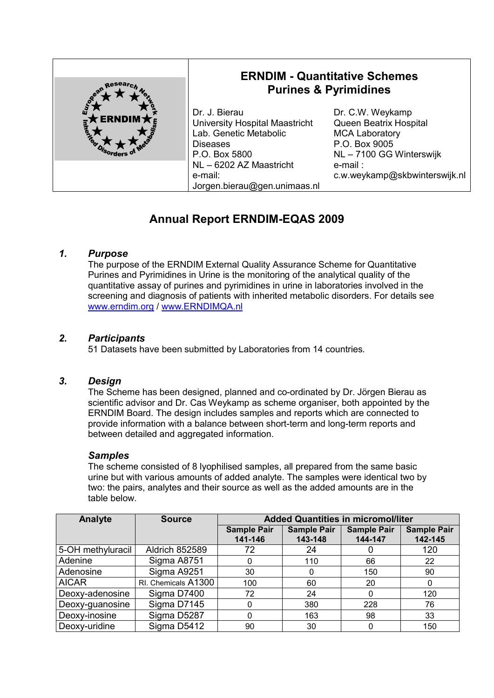| goon Resear                                  | <b>ERNDIM - Quantitative Schemes</b><br><b>Purines &amp; Pyrimidines</b>                                      |                                                                                                                  |  |
|----------------------------------------------|---------------------------------------------------------------------------------------------------------------|------------------------------------------------------------------------------------------------------------------|--|
| ฉั<br><b>ERNDIM</b> $\bigstar$<br>Their Book | Dr. J. Bierau<br>University Hospital Maastricht<br>Lab. Genetic Metabolic<br><b>Diseases</b><br>P.O. Box 5800 | Dr. C.W. Weykamp<br>Queen Beatrix Hospital<br><b>MCA Laboratory</b><br>P.O. Box 9005<br>NL - 7100 GG Winterswijk |  |
|                                              | NL - 6202 AZ Maastricht<br>e-mail:<br>Jorgen.bierau@gen.unimaas.nl                                            | $e$ -mail:<br>c.w.weykamp@skbwinterswijk.nl                                                                      |  |

# **Annual Report ERNDIM-EQAS 2009**

# *1. Purpose*

The purpose of the ERNDIM External Quality Assurance Scheme for Quantitative Purines and Pyrimidines in Urine is the monitoring of the analytical quality of the quantitative assay of purines and pyrimidines in urine in laboratories involved in the screening and diagnosis of patients with inherited metabolic disorders. For details see www.erndim.org / www.ERNDIMQA.nl

## *2. Participants*

51 Datasets have been submitted by Laboratories from 14 countries.

## *3. Design*

The Scheme has been designed, planned and co-ordinated by Dr. Jörgen Bierau as scientific advisor and Dr. Cas Weykamp as scheme organiser, both appointed by the ERNDIM Board. The design includes samples and reports which are connected to provide information with a balance between short-term and long-term reports and between detailed and aggregated information.

#### *Samples*

The scheme consisted of 8 lyophilised samples, all prepared from the same basic urine but with various amounts of added analyte. The samples were identical two by two: the pairs, analytes and their source as well as the added amounts are in the table below.

| Analyte           | <b>Source</b>         | <b>Added Quantities in micromol/liter</b> |                    |                    |                    |
|-------------------|-----------------------|-------------------------------------------|--------------------|--------------------|--------------------|
|                   |                       | <b>Sample Pair</b>                        | <b>Sample Pair</b> | <b>Sample Pair</b> | <b>Sample Pair</b> |
|                   |                       | 141-146                                   | 143-148            | 144-147            | 142-145            |
| 5-OH methyluracil | <b>Aldrich 852589</b> | 72                                        | 24                 |                    | 120                |
| Adenine           | Sigma A8751           |                                           | 110                | 66                 | 22                 |
| Adenosine         | Sigma A9251           | 30                                        |                    | 150                | 90                 |
| <b>AICAR</b>      | RI. Chemicals A1300   | 100                                       | 60                 | 20                 |                    |
| Deoxy-adenosine   | Sigma D7400           | 72                                        | 24                 | 0                  | 120                |
| Deoxy-guanosine   | Sigma D7145           |                                           | 380                | 228                | 76                 |
| Deoxy-inosine     | Sigma D5287           |                                           | 163                | 98                 | 33                 |
| Deoxy-uridine     | Sigma D5412           | 90                                        | 30                 | 0                  | 150                |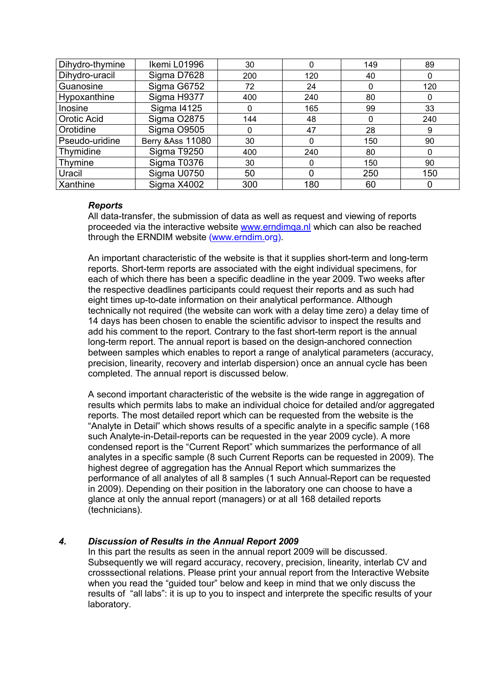| Dihydro-thymine | Ikemi L01996                 | 30          |     | 149 | 89  |
|-----------------|------------------------------|-------------|-----|-----|-----|
| Dihydro-uracil  | Sigma D7628                  | 200         | 120 | 40  | 0   |
| Guanosine       | Sigma G6752                  | 72          | 24  | 0   | 120 |
| Hypoxanthine    | Sigma H9377                  | 400         | 240 | 80  | 0   |
| Inosine         | <b>Sigma I4125</b>           | $\mathbf 0$ | 165 | 99  | 33  |
| Orotic Acid     | Sigma O2875                  | 144         | 48  | 0   | 240 |
| Orotidine       | Sigma O9505                  | $\Omega$    | 47  | 28  | 9   |
| Pseudo-uridine  | <b>Berry &amp; Ass 11080</b> | 30          | 0   | 150 | 90  |
| Thymidine       | Sigma T9250                  | 400         | 240 | 80  | 0   |
| Thymine         | Sigma T0376                  | 30          |     | 150 | 90  |
| Uracil          | Sigma U0750                  | 50          | 0   | 250 | 150 |
| Xanthine        | Sigma X4002                  | 300         | 180 | 60  |     |

#### *Reports*

All data-transfer, the submission of data as well as request and viewing of reports proceeded via the interactive website www.erndimqa.nl which can also be reached through the ERNDIM website (www.erndim.org).

An important characteristic of the website is that it supplies short-term and long-term reports. Short-term reports are associated with the eight individual specimens, for each of which there has been a specific deadline in the year 2009. Two weeks after the respective deadlines participants could request their reports and as such had eight times up-to-date information on their analytical performance. Although technically not required (the website can work with a delay time zero) a delay time of 14 days has been chosen to enable the scientific advisor to inspect the results and add his comment to the report. Contrary to the fast short-term report is the annual long-term report. The annual report is based on the design-anchored connection between samples which enables to report a range of analytical parameters (accuracy, precision, linearity, recovery and interlab dispersion) once an annual cycle has been completed. The annual report is discussed below.

A second important characteristic of the website is the wide range in aggregation of results which permits labs to make an individual choice for detailed and/or aggregated reports. The most detailed report which can be requested from the website is the "Analyte in Detail" which shows results of a specific analyte in a specific sample (168 such Analyte-in-Detail-reports can be requested in the year 2009 cycle). A more condensed report is the "Current Report" which summarizes the performance of all analytes in a specific sample (8 such Current Reports can be requested in 2009). The highest degree of aggregation has the Annual Report which summarizes the performance of all analytes of all 8 samples (1 such Annual-Report can be requested in 2009). Depending on their position in the laboratory one can choose to have a glance at only the annual report (managers) or at all 168 detailed reports (technicians).

# *4. Discussion of Results in the Annual Report 2009*

In this part the results as seen in the annual report 2009 will be discussed. Subsequently we will regard accuracy, recovery, precision, linearity, interlab CV and crosssectional relations. Please print your annual report from the Interactive Website when you read the "guided tour" below and keep in mind that we only discuss the results of "all labs": it is up to you to inspect and interprete the specific results of your laboratory.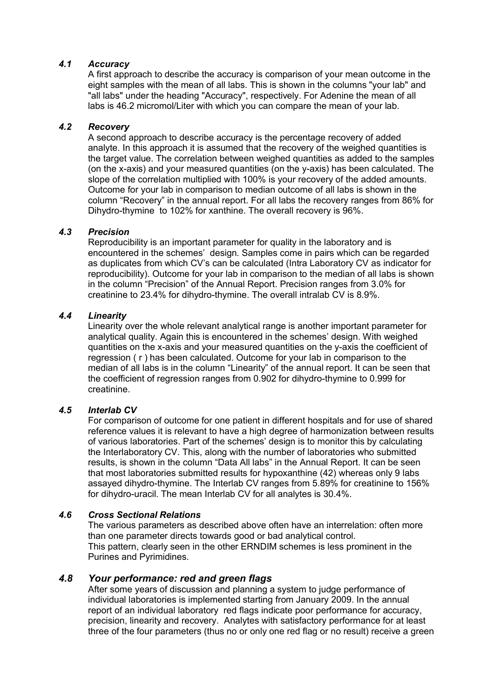## *4.1 Accuracy*

A first approach to describe the accuracy is comparison of your mean outcome in the eight samples with the mean of all labs. This is shown in the columns "your lab" and "all labs" under the heading "Accuracy", respectively. For Adenine the mean of all labs is 46.2 micromol/Liter with which you can compare the mean of your lab.

## *4.2 Recovery*

A second approach to describe accuracy is the percentage recovery of added analyte. In this approach it is assumed that the recovery of the weighed quantities is the target value. The correlation between weighed quantities as added to the samples (on the x-axis) and your measured quantities (on the y-axis) has been calculated. The slope of the correlation multiplied with 100% is your recovery of the added amounts. Outcome for your lab in comparison to median outcome of all labs is shown in the column "Recovery" in the annual report. For all labs the recovery ranges from 86% for Dihydro-thymine to 102% for xanthine. The overall recovery is 96%.

## *4.3 Precision*

Reproducibility is an important parameter for quality in the laboratory and is encountered in the schemes' design. Samples come in pairs which can be regarded as duplicates from which CV's can be calculated (Intra Laboratory CV as indicator for reproducibility). Outcome for your lab in comparison to the median of all labs is shown in the column "Precision" of the Annual Report. Precision ranges from 3.0% for creatinine to 23.4% for dihydro-thymine. The overall intralab CV is 8.9%.

## *4.4 Linearity*

Linearity over the whole relevant analytical range is another important parameter for analytical quality. Again this is encountered in the schemes' design. With weighed quantities on the x-axis and your measured quantities on the y-axis the coefficient of regression ( r ) has been calculated. Outcome for your lab in comparison to the median of all labs is in the column "Linearity" of the annual report. It can be seen that the coefficient of regression ranges from 0.902 for dihydro-thymine to 0.999 for creatinine.

#### *4.5 Interlab CV*

For comparison of outcome for one patient in different hospitals and for use of shared reference values it is relevant to have a high degree of harmonization between results of various laboratories. Part of the schemes' design is to monitor this by calculating the Interlaboratory CV. This, along with the number of laboratories who submitted results, is shown in the column "Data All labs" in the Annual Report. It can be seen that most laboratories submitted results for hypoxanthine (42) whereas only 9 labs assayed dihydro-thymine. The Interlab CV ranges from 5.89% for creatinine to 156% for dihydro-uracil. The mean Interlab CV for all analytes is 30.4%.

#### *4.6 Cross Sectional Relations*

The various parameters as described above often have an interrelation: often more than one parameter directs towards good or bad analytical control. This pattern, clearly seen in the other ERNDIM schemes is less prominent in the Purines and Pyrimidines.

# *4.8 Your performance: red and green flags*

After some years of discussion and planning a system to judge performance of individual laboratories is implemented starting from January 2009. In the annual report of an individual laboratory red flags indicate poor performance for accuracy, precision, linearity and recovery. Analytes with satisfactory performance for at least three of the four parameters (thus no or only one red flag or no result) receive a green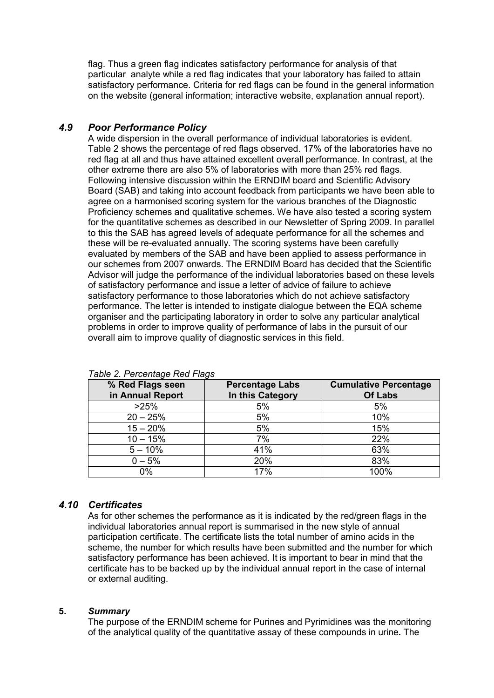flag. Thus a green flag indicates satisfactory performance for analysis of that particular analyte while a red flag indicates that your laboratory has failed to attain satisfactory performance. Criteria for red flags can be found in the general information on the website (general information; interactive website, explanation annual report).

# *4.9 Poor Performance Policy*

A wide dispersion in the overall performance of individual laboratories is evident. Table 2 shows the percentage of red flags observed. 17% of the laboratories have no red flag at all and thus have attained excellent overall performance. In contrast, at the other extreme there are also 5% of laboratories with more than 25% red flags. Following intensive discussion within the ERNDIM board and Scientific Advisory Board (SAB) and taking into account feedback from participants we have been able to agree on a harmonised scoring system for the various branches of the Diagnostic Proficiency schemes and qualitative schemes. We have also tested a scoring system for the quantitative schemes as described in our Newsletter of Spring 2009. In parallel to this the SAB has agreed levels of adequate performance for all the schemes and these will be re-evaluated annually. The scoring systems have been carefully evaluated by members of the SAB and have been applied to assess performance in our schemes from 2007 onwards. The ERNDIM Board has decided that the Scientific Advisor will judge the performance of the individual laboratories based on these levels of satisfactory performance and issue a letter of advice of failure to achieve satisfactory performance to those laboratories which do not achieve satisfactory performance. The letter is intended to instigate dialogue between the EQA scheme organiser and the participating laboratory in order to solve any particular analytical problems in order to improve quality of performance of labs in the pursuit of our overall aim to improve quality of diagnostic services in this field.

| % Red Flags seen<br>in Annual Report | <b>Percentage Labs</b><br>In this Category | <b>Cumulative Percentage</b><br><b>Of Labs</b> |
|--------------------------------------|--------------------------------------------|------------------------------------------------|
| >25%                                 | 5%                                         | 5%                                             |
| $20 - 25%$                           | 5%                                         | 10%                                            |
| $15 - 20%$                           | 5%                                         | 15%                                            |
| $10 - 15%$                           | 7%                                         | 22%                                            |
| $5 - 10%$                            | 41%                                        | 63%                                            |
| $0 - 5%$                             | 20%                                        | 83%                                            |
| 0%                                   | 17%                                        | 100%                                           |

*Table 2. Percentage Red Flags*

# *4.10 Certificates*

As for other schemes the performance as it is indicated by the red/green flags in the individual laboratories annual report is summarised in the new style of annual participation certificate. The certificate lists the total number of amino acids in the scheme, the number for which results have been submitted and the number for which satisfactory performance has been achieved. It is important to bear in mind that the certificate has to be backed up by the individual annual report in the case of internal or external auditing.

#### **5.** *Summary*

The purpose of the ERNDIM scheme for Purines and Pyrimidines was the monitoring of the analytical quality of the quantitative assay of these compounds in urine**.** The